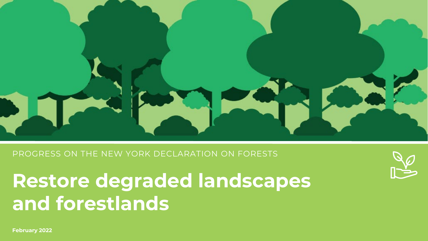

PROGRESS ON THE NEW YORK DECLARATION ON FORESTS

**Restore degraded landscapes and forestlands**



**February 2022**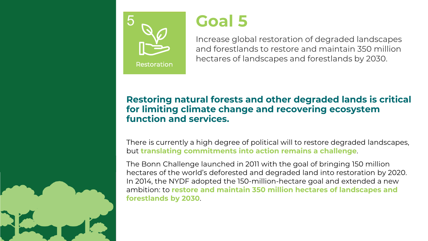

# **Goal 5**

Increase global restoration of degraded landscapes and forestlands to restore and maintain 350 million hectares of landscapes and forestlands by 2030.

## **Restoring natural forests and other degraded lands is critical for limiting climate change and recovering ecosystem function and services.**

There is currently a high degree of political will to restore degraded landscapes, but **translating commitments into action remains a challenge**.

The Bonn Challenge launched in 2011 with the goal of bringing 150 million hectares of the world's deforested and degraded land into restoration by 2020. In 2014, the NYDF adopted the 150-million-hectare goal and extended a new ambition: to **restore and maintain 350 million hectares of landscapes and forestlands by 2030**.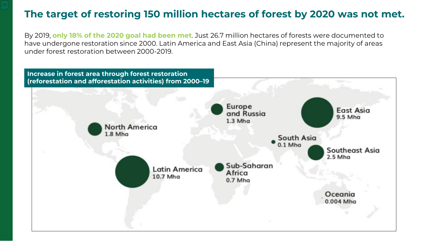## **The target of restoring 150 million hectares of forest by 2020 was not met.**

By 2019, **only 18% of the 2020 goal had been met**. Just 26.7 million hectares of forests were documented to have undergone restoration since 2000. Latin America and East Asia (China) represent the majority of areas under forest restoration between 2000-2019.

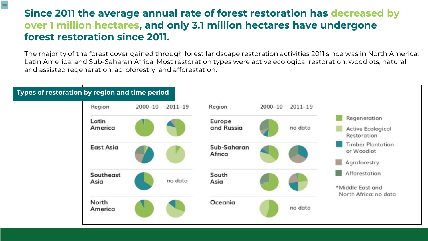# **Since 2011 the average annual rate of forest restoration has decreased by over 1 million hectares, and only 3.1 million hectares have undergone forest restoration since 2011.**

 $\equiv$ 

The majority of the forest cover gained through forest landscape restoration activities 2011 since was in North America, Latin America, and Sub-Saharan Africa. Most restoration types were active ecological restoration, woodlots, natural and assisted regeneration, agroforestry, and afforestation.

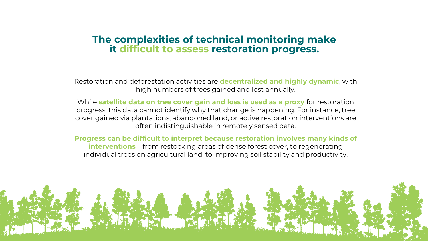# **The complexities of technical monitoring make it difficult to assess restoration progress.**

Restoration and deforestation activities are **decentralized and highly dynamic**, with high numbers of trees gained and lost annually.

While **satellite data on tree cover gain and loss is used as a proxy** for restoration progress, this data cannot identify why that change is happening. For instance, tree cover gained via plantations, abandoned land, or active restoration interventions are often indistinguishable in remotely sensed data.

**Progress can be difficult to interpret because restoration involves many kinds of interventions** – from restocking areas of dense forest cover, to regenerating individual trees on agricultural land, to improving soil stability and productivity.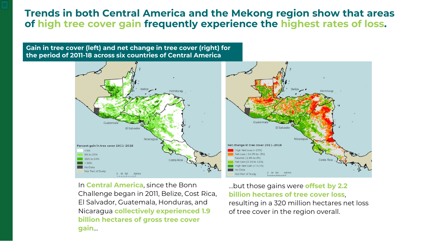## **Trends in both Central America and the Mekong region show that areas of high tree cover gain frequently experience the highest rates of loss.**

#### **Gain in tree cover (left) and net change in tree cover (right) for the period of 2011-18 across six countries of Central America**



In **Central America**, since the Bonn Challenge began in 2011, Belize, Cost Rica, El Salvador, Guatemala, Honduras, and Nicaragua **collectively experienced 1.9 billion hectares of gross tree cover gain**…

…but those gains were **offset by 2.2 billion hectares of tree cover loss**, resulting in a 320 million hectares net loss of tree cover in the region overall.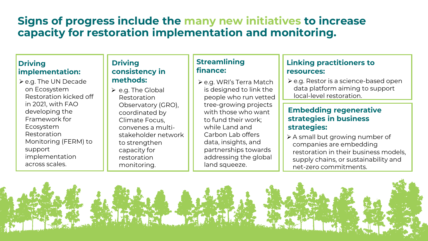# **Signs of progress include the many new initiatives to increase capacity for restoration implementation and monitoring.**

### **Driving implementation:**

 $\triangleright$  e.g. The UN Decade on Ecosystem Restoration kicked off in 2021, with FAO developing the Framework for Ecosystem Restoration Monitoring (FERM) to support implementation across scales.

#### **Driving consistency in methods:**

 $\triangleright$  e.g. The Global Restoration Observatory (GRO), coordinated by Climate Focus, convenes a multistakeholder network to strengthen capacity for restoration monitoring.

## **Streamlining finance:**

 e.g. WRI's Terra Match is designed to link the people who run vetted tree-growing projects with those who want to fund their work; while Land and Carbon Lab offers data, insights, and partnerships towards addressing the global land squeeze.

### **Linking practitioners to resources:**

 $\geq$  e.g. Restor is a science-based open data platform aiming to support local-level restoration.

### **Embedding regenerative strategies in business strategies:**

 A small but growing number of companies are embedding restoration in their business models, supply chains, or sustainability and net-zero commitments.